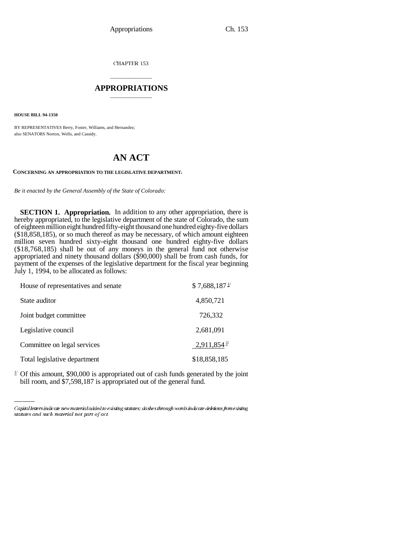CHAPTER 153

## \_\_\_\_\_\_\_\_\_\_\_\_\_\_\_ **APPROPRIATIONS** \_\_\_\_\_\_\_\_\_\_\_\_\_\_\_

**HOUSE BILL 94-1350**

BY REPRESENTATIVES Berry, Foster, Williams, and Hernandez; also SENATORS Norton, Wells, and Cassidy.

## **AN ACT**

**CONCERNING AN APPROPRIATION TO THE LEGISLATIVE DEPARTMENT.**

*Be it enacted by the General Assembly of the State of Colorado:*

**SECTION 1. Appropriation.** In addition to any other appropriation, there is hereby appropriated, to the legislative department of the state of Colorado, the sum of eighteen million eight hundred fifty-eight thousand one hundred eighty-five dollars (\$18,858,185), or so much thereof as may be necessary, of which amount eighteen million seven hundred sixty-eight thousand one hundred eighty-five dollars (\$18,768,185) shall be out of any moneys in the general fund not otherwise appropriated and ninety thousand dollars (\$90,000) shall be from cash funds, for payment of the expenses of the legislative department for the fiscal year beginning July 1, 1994, to be allocated as follows:

| House of representatives and senate | $$7,688,187$ <sup>1/</sup> |
|-------------------------------------|----------------------------|
| State auditor                       | 4,850,721                  |
| Joint budget committee              | 726,332                    |
| Legislative council                 | 2,681,091                  |
| Committee on legal services         | $2,911,854$ <sup>2/</sup>  |
| Total legislative department        | \$18,858,185               |

 $\frac{1}{2}$  Of this amount, \$90,000 is appropriated out of cash funds generated by the joint bill room, and \$7,598,187 is appropriated out of the general fund.

Capital letters indicate new material added to existing statutes; dashes through words indicate deletions from existing statutes and such material not part of act.